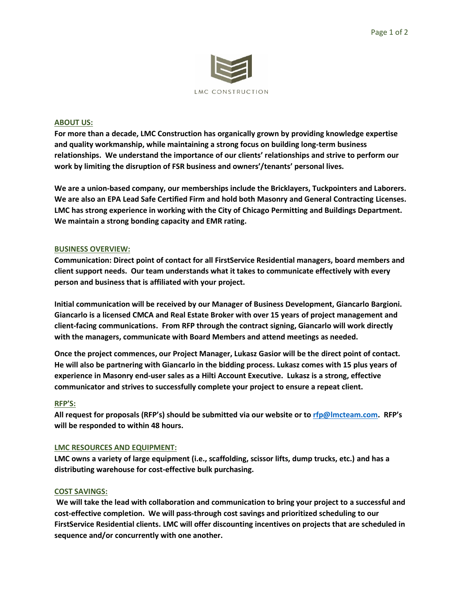

### **ABOUT US:**

**For more than a decade, LMC Construction has organically grown by providing knowledge expertise and quality workmanship, while maintaining a strong focus on building long-term business relationships. We understand the importance of our clients' relationships and strive to perform our work by limiting the disruption of FSR business and owners'/tenants' personal lives.**

**We are a union-based company, our memberships include the Bricklayers, Tuckpointers and Laborers. We are also an EPA Lead Safe Certified Firm and hold both Masonry and General Contracting Licenses. LMC has strong experience in working with the City of Chicago Permitting and Buildings Department. We maintain a strong bonding capacity and EMR rating.**

# **BUSINESS OVERVIEW:**

**Communication: Direct point of contact for all FirstService Residential managers, board members and client support needs. Our team understands what it takes to communicate effectively with every person and business that is affiliated with your project.** 

**Initial communication will be received by our Manager of Business Development, Giancarlo Bargioni. Giancarlo is a licensed CMCA and Real Estate Broker with over 15 years of project management and client-facing communications. From RFP through the contract signing, Giancarlo will work directly with the managers, communicate with Board Members and attend meetings as needed.**

**Once the project commences, our Project Manager, Lukasz Gasior will be the direct point of contact. He will also be partnering with Giancarlo in the bidding process. Lukasz comes with 15 plus years of experience in Masonry end-user sales as a Hilti Account Executive. Lukasz is a strong, effective communicator and strives to successfully complete your project to ensure a repeat client.**

### **RFP'S:**

**All request for proposals (RFP's) should be submitted via our website or to [rfp@lmcteam.com](about:blank). RFP's will be responded to within 48 hours.**

### **LMC RESOURCES AND EQUIPMENT:**

**LMC owns a variety of large equipment (i.e., scaffolding, scissor lifts, dump trucks, etc.) and has a distributing warehouse for cost-effective bulk purchasing.**

### **COST SAVINGS:**

**We will take the lead with collaboration and communication to bring your project to a successful and cost-effective completion. We will pass-through cost savings and prioritized scheduling to our FirstService Residential clients. LMC will offer discounting incentives on projects that are scheduled in sequence and/or concurrently with one another.**